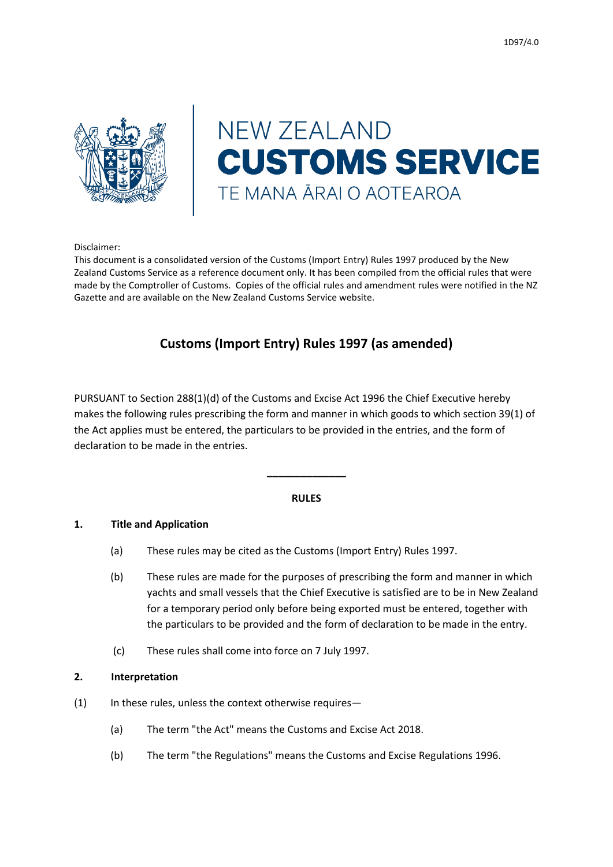

# **NEW ZEALAND CUSTOMS SERVICE** TE MANA ĀRAI O AOTEAROA

#### Disclaimer:

This document is a consolidated version of the Customs (Import Entry) Rules 1997 produced by the New Zealand Customs Service as a reference document only. It has been compiled from the official rules that were made by the Comptroller of Customs. Copies of the official rules and amendment rules were notified in the NZ Gazette and are available on the New Zealand Customs Service website.

# **Customs (Import Entry) Rules 1997 (as amended)**

PURSUANT to Section 288(1)(d) of the Customs and Excise Act 1996 the Chief Executive hereby makes the following rules prescribing the form and manner in which goods to which section 39(1) of the Act applies must be entered, the particulars to be provided in the entries, and the form of declaration to be made in the entries.

#### **RULES**

**\_\_\_\_\_\_\_\_\_\_\_\_\_\_**

#### **1. Title and Application**

- (a) These rules may be cited as the Customs (Import Entry) Rules 1997.
- (b) These rules are made for the purposes of prescribing the form and manner in which yachts and small vessels that the Chief Executive is satisfied are to be in New Zealand for a temporary period only before being exported must be entered, together with the particulars to be provided and the form of declaration to be made in the entry.
- (c) These rules shall come into force on 7 July 1997.

#### **2. Interpretation**

- (1) In these rules, unless the context otherwise requires—
	- (a) The term "the Act" means the Customs and Excise Act 2018.
	- (b) The term "the Regulations" means the Customs and Excise Regulations 1996.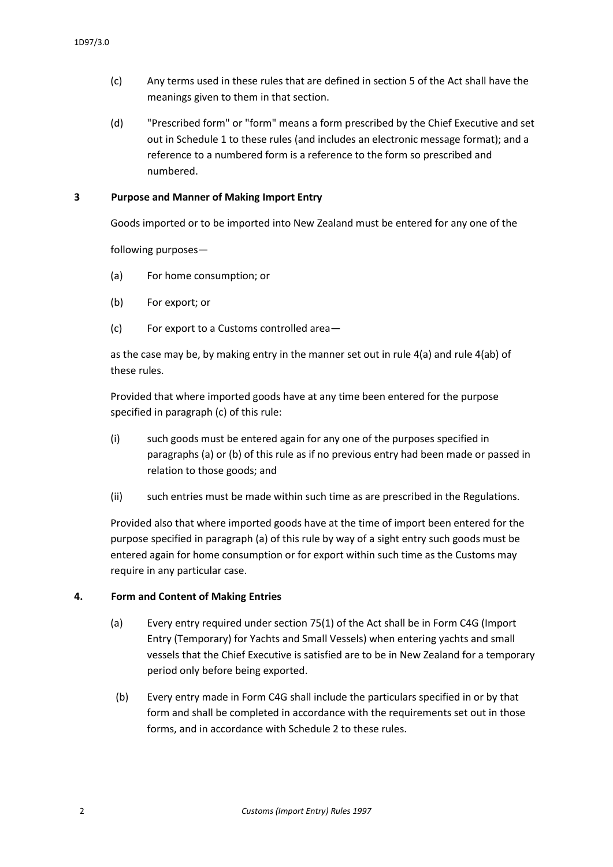- (c) Any terms used in these rules that are defined in section 5 of the Act shall have the meanings given to them in that section.
- (d) "Prescribed form" or "form" means a form prescribed by the Chief Executive and set out in Schedule 1 to these rules (and includes an electronic message format); and a reference to a numbered form is a reference to the form so prescribed and numbered.

#### **3 Purpose and Manner of Making Import Entry**

Goods imported or to be imported into New Zealand must be entered for any one of the

following purposes—

- (a) For home consumption; or
- (b) For export; or
- (c) For export to a Customs controlled area—

as the case may be, by making entry in the manner set out in rule 4(a) and rule 4(ab) of these rules.

Provided that where imported goods have at any time been entered for the purpose specified in paragraph (c) of this rule:

- (i) such goods must be entered again for any one of the purposes specified in paragraphs (a) or (b) of this rule as if no previous entry had been made or passed in relation to those goods; and
- (ii) such entries must be made within such time as are prescribed in the Regulations.

Provided also that where imported goods have at the time of import been entered for the purpose specified in paragraph (a) of this rule by way of a sight entry such goods must be entered again for home consumption or for export within such time as the Customs may require in any particular case.

#### **4. Form and Content of Making Entries**

- (a) Every entry required under section 75(1) of the Act shall be in Form C4G (Import Entry (Temporary) for Yachts and Small Vessels) when entering yachts and small vessels that the Chief Executive is satisfied are to be in New Zealand for a temporary period only before being exported.
- (b) Every entry made in Form C4G shall include the particulars specified in or by that form and shall be completed in accordance with the requirements set out in those forms, and in accordance with Schedule 2 to these rules.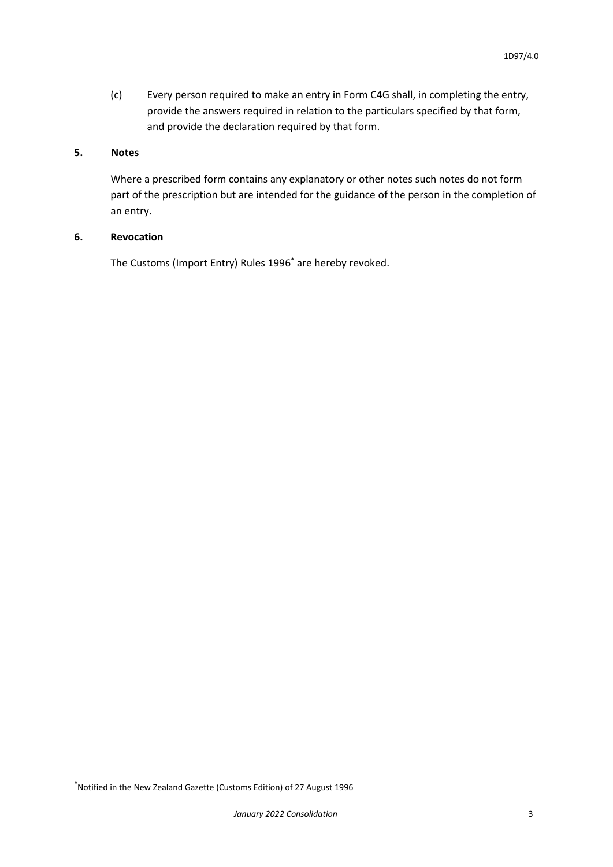(c) Every person required to make an entry in Form C4G shall, in completing the entry, provide the answers required in relation to the particulars specified by that form, and provide the declaration required by that form.

#### **5. Notes**

Where a prescribed form contains any explanatory or other notes such notes do not form part of the prescription but are intended for the guidance of the person in the completion of an entry.

#### **6. Revocation**

The Customs (Import Entry) Rules 1996\* are hereby revoked.

**.** 

<sup>\*</sup>Notified in the New Zealand Gazette (Customs Edition) of 27 August 1996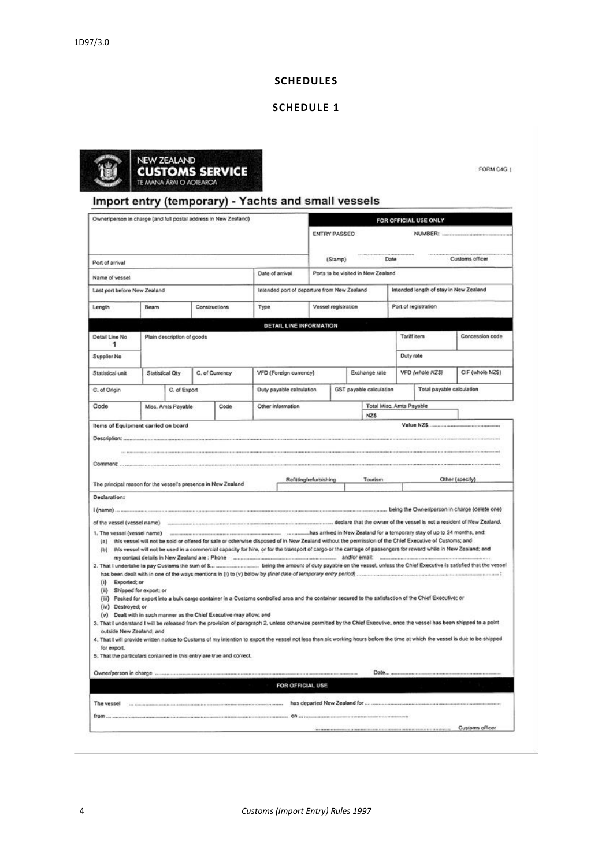#### **SCHEDULES**

#### **SCHEDULE 1**



FORM C4G |

# Import entry (temporary) - Yachts and small vessels

| Owner/person in charge (and full postal address in New Zealand) |                                     |                                                                       | FOR OFFICIAL USE ONLY                                                                                                                                                                                                                                                                              |                        |                     |                                                     |  |                                        |                  |
|-----------------------------------------------------------------|-------------------------------------|-----------------------------------------------------------------------|----------------------------------------------------------------------------------------------------------------------------------------------------------------------------------------------------------------------------------------------------------------------------------------------------|------------------------|---------------------|-----------------------------------------------------|--|----------------------------------------|------------------|
|                                                                 |                                     |                                                                       |                                                                                                                                                                                                                                                                                                    |                        | <b>ENTRY PASSED</b> |                                                     |  | NUMBER:                                |                  |
| Port of arrival                                                 |                                     |                                                                       |                                                                                                                                                                                                                                                                                                    |                        | (Stamp)             | <b>114 444144000000</b><br>Date                     |  |                                        | Customs officer  |
| Name of vessel                                                  |                                     |                                                                       | Date of arrival                                                                                                                                                                                                                                                                                    |                        |                     | Ports to be visited in New Zealand                  |  |                                        |                  |
| Last port before New Zealand                                    |                                     |                                                                       | Intended port of departure from New Zealand                                                                                                                                                                                                                                                        |                        |                     |                                                     |  | Intended length of stay in New Zealand |                  |
|                                                                 |                                     |                                                                       |                                                                                                                                                                                                                                                                                                    |                        |                     |                                                     |  |                                        |                  |
| Length                                                          | Beam                                | Constructions                                                         | Type                                                                                                                                                                                                                                                                                               |                        | Vessel registration |                                                     |  | Port of registration                   |                  |
|                                                                 |                                     |                                                                       | <b>DETAIL LINE INFORMATION</b>                                                                                                                                                                                                                                                                     |                        |                     |                                                     |  |                                        |                  |
| Detail Line No<br>1                                             | Plain description of goods          |                                                                       |                                                                                                                                                                                                                                                                                                    |                        |                     |                                                     |  | Tariff item                            | Concession code  |
| Supplier No                                                     |                                     |                                                                       |                                                                                                                                                                                                                                                                                                    |                        |                     |                                                     |  | Duty rate                              |                  |
| Statistical unit                                                | Statistical Oty                     | C. of Currency                                                        | VFD (Foreign currency)                                                                                                                                                                                                                                                                             |                        |                     | Exchange rate                                       |  | VFD (whole NZS)                        | CIF (whole NZ\$) |
|                                                                 |                                     |                                                                       |                                                                                                                                                                                                                                                                                                    |                        |                     |                                                     |  |                                        |                  |
| C. of Origin                                                    | C. of Export                        |                                                                       | Duty payable calculation                                                                                                                                                                                                                                                                           |                        |                     | GST payable calculation                             |  | Total payable calculation              |                  |
| Code                                                            | Misc. Amts Payable                  | Code                                                                  | Other Information                                                                                                                                                                                                                                                                                  |                        |                     | Total Misc. Amts Payable                            |  |                                        |                  |
|                                                                 | Items of Equipment carried on board |                                                                       |                                                                                                                                                                                                                                                                                                    |                        |                     | <b>NZS</b>                                          |  |                                        |                  |
|                                                                 |                                     | The principal reason for the vessel's presence in New Zealand         |                                                                                                                                                                                                                                                                                                    | Relitting/refurbishing |                     | ---------------------------------<br><b>Tourism</b> |  |                                        | Other (specify)  |
|                                                                 |                                     |                                                                       |                                                                                                                                                                                                                                                                                                    |                        |                     |                                                     |  |                                        |                  |
|                                                                 |                                     |                                                                       |                                                                                                                                                                                                                                                                                                    |                        |                     |                                                     |  |                                        |                  |
|                                                                 |                                     |                                                                       |                                                                                                                                                                                                                                                                                                    |                        |                     |                                                     |  |                                        |                  |
|                                                                 |                                     |                                                                       |                                                                                                                                                                                                                                                                                                    |                        |                     |                                                     |  |                                        |                  |
|                                                                 | 1. The vessel (vessel name)         |                                                                       | monomonium communication communication communication of the manufacture of the Cealand for a temporary stay of up to 24 months, and:<br>(a) this vessel will not be sold or offered for sale or otherwise disposed of in New Zealand without the permission of the Chief Executive of Customs; and |                        |                     |                                                     |  |                                        |                  |
|                                                                 |                                     |                                                                       | (b) this vessel will not be used in a commercial capacky for hire, or for the transport of cargo or the carriage of passengers for reward while in New Zealand; and                                                                                                                                |                        |                     |                                                     |  |                                        |                  |
|                                                                 |                                     |                                                                       |                                                                                                                                                                                                                                                                                                    |                        |                     |                                                     |  |                                        |                  |
|                                                                 |                                     |                                                                       |                                                                                                                                                                                                                                                                                                    |                        |                     |                                                     |  |                                        |                  |
| (i) Exported; or<br>(ii) Shipped for export; or                 |                                     |                                                                       |                                                                                                                                                                                                                                                                                                    |                        |                     |                                                     |  |                                        |                  |
|                                                                 |                                     |                                                                       | (iii) Packed for export into a bulk cargo container in a Customs controlled area and the container secured to the satisfaction of the Chief Executive; or                                                                                                                                          |                        |                     |                                                     |  |                                        |                  |
| (iv) Destroyed; or                                              |                                     | (v) Dealt with in such manner as the Chief Executive may allow; and   |                                                                                                                                                                                                                                                                                                    |                        |                     |                                                     |  |                                        |                  |
|                                                                 |                                     |                                                                       | 3. That I understand I will be released from the provision of paragraph 2, unless otherwise permitted by the Chief Executive, once the vessel has been shipped to a point                                                                                                                          |                        |                     |                                                     |  |                                        |                  |
| outside New Zealand; and                                        |                                     |                                                                       | 4. That I will provide written notice to Customs of my intention to export the vessel not less than six working hours before the time at which the vessel is due to be shipped                                                                                                                     |                        |                     |                                                     |  |                                        |                  |
| for export.                                                     |                                     |                                                                       |                                                                                                                                                                                                                                                                                                    |                        |                     |                                                     |  |                                        |                  |
|                                                                 |                                     | 5. That the particulars contained in this entry are true and correct. |                                                                                                                                                                                                                                                                                                    |                        |                     |                                                     |  |                                        |                  |
|                                                                 | Owner/person in charge              |                                                                       |                                                                                                                                                                                                                                                                                                    |                        |                     | Date                                                |  |                                        |                  |
|                                                                 |                                     |                                                                       | FOR OFFICIAL USE                                                                                                                                                                                                                                                                                   |                        |                     |                                                     |  |                                        |                  |
| Comment:<br>Declaration:<br>The vessel<br>from                  |                                     |                                                                       |                                                                                                                                                                                                                                                                                                    |                        |                     |                                                     |  |                                        |                  |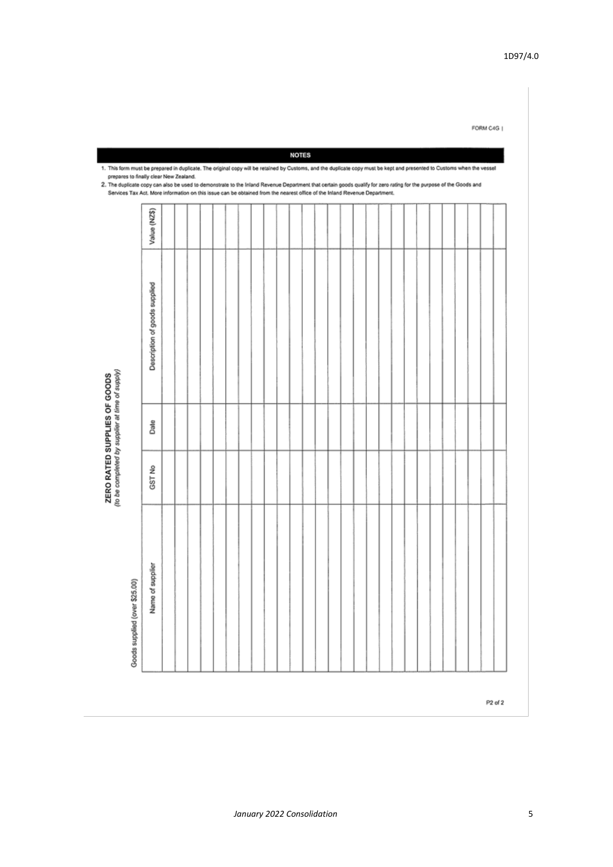ZERO RATED SUPPLIES OF GOODS<br>(to be completed by supplier at time of supply)

Value (NZ\$) Description of goods supplied Date GST<sub>No</sub> Name of supplier Goods supplied (over \$25.00)

1. This form must be prepared in duplicate. The original copy will be retained by Customs, and the duplicate copy must be kept and presented to Customs when the vessel ... The duplicate copy can also be used to demonstrate to the Inland Revenue Department that certain goods qualify for zero rating for the purpose of the Goods and<br>2. The duplicate copy can also be used to demonstrate to t Services Tax Act. More information on this issue can be obtained from the nearest office of the Inland Revenue Department.

FORM C4G |

1D97/4.0

P<sub>2</sub> of 2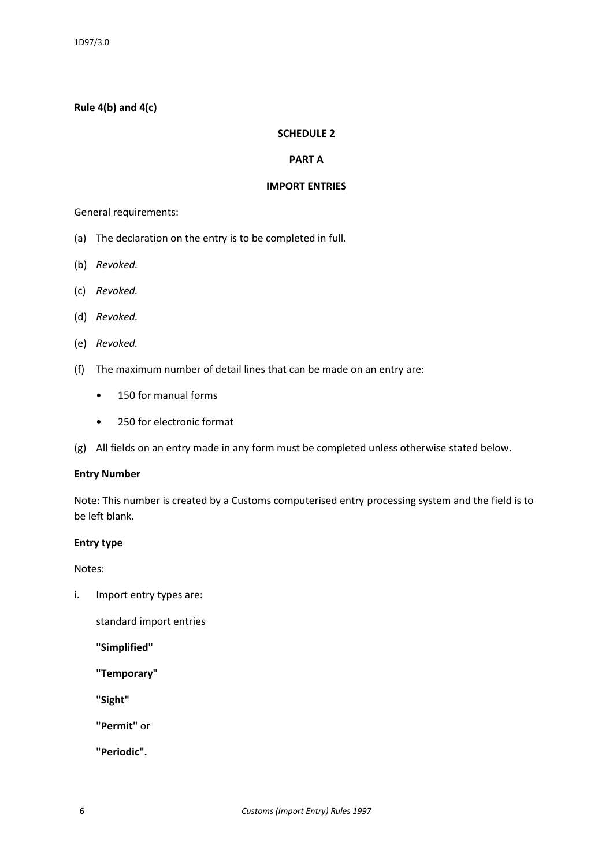### **Rule 4(b) and 4(c)**

#### **SCHEDULE 2**

#### **PART A**

#### **IMPORT ENTRIES**

General requirements:

- (a) The declaration on the entry is to be completed in full.
- (b) *Revoked.*
- (c) *Revoked.*
- (d) *Revoked.*
- (e) *Revoked.*
- (f) The maximum number of detail lines that can be made on an entry are:
	- 150 for manual forms
	- 250 for electronic format
- (g) All fields on an entry made in any form must be completed unless otherwise stated below.

#### **Entry Number**

Note: This number is created by a Customs computerised entry processing system and the field is to be left blank.

#### **Entry type**

Notes:

i. Import entry types are:

standard import entries

**"Simplified"**

**"Temporary"**

**"Sight"**

**"Permit"** or

**"Periodic".**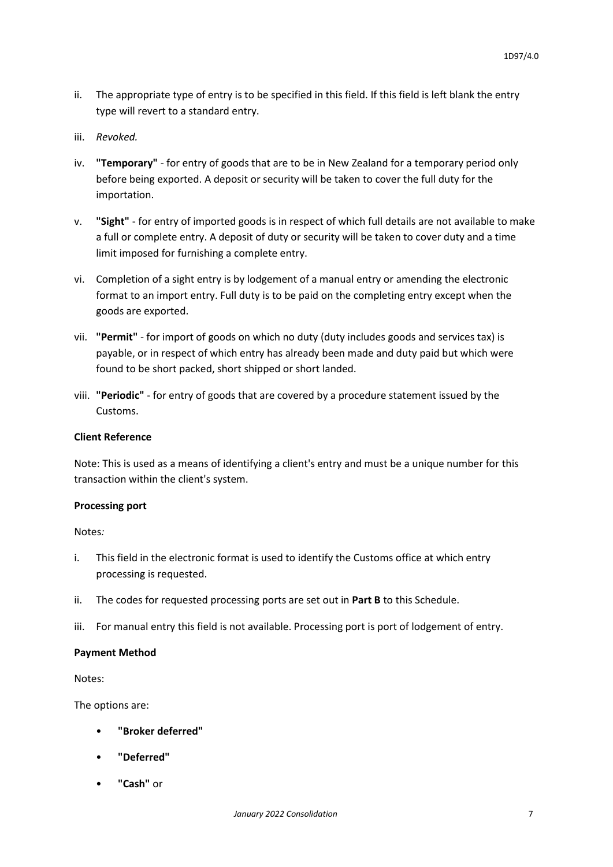- ii. The appropriate type of entry is to be specified in this field. If this field is left blank the entry type will revert to a standard entry.
- iii. *Revoked.*
- iv. **"Temporary"**  for entry of goods that are to be in New Zealand for a temporary period only before being exported. A deposit or security will be taken to cover the full duty for the importation.
- v. **"Sight"**  for entry of imported goods is in respect of which full details are not available to make a full or complete entry. A deposit of duty or security will be taken to cover duty and a time limit imposed for furnishing a complete entry.
- vi. Completion of a sight entry is by lodgement of a manual entry or amending the electronic format to an import entry. Full duty is to be paid on the completing entry except when the goods are exported.
- vii. **"Permit"**  for import of goods on which no duty (duty includes goods and services tax) is payable, or in respect of which entry has already been made and duty paid but which were found to be short packed, short shipped or short landed.
- viii. **"Periodic"**  for entry of goods that are covered by a procedure statement issued by the Customs.

#### **Client Reference**

Note: This is used as a means of identifying a client's entry and must be a unique number for this transaction within the client's system.

#### **Processing port**

Notes*:*

- i. This field in the electronic format is used to identify the Customs office at which entry processing is requested.
- ii. The codes for requested processing ports are set out in **Part B** to this Schedule.
- iii. For manual entry this field is not available. Processing port is port of lodgement of entry.

#### **Payment Method**

Notes:

The options are:

- **"Broker deferred"**
- **"Deferred"**
- **"Cash"** or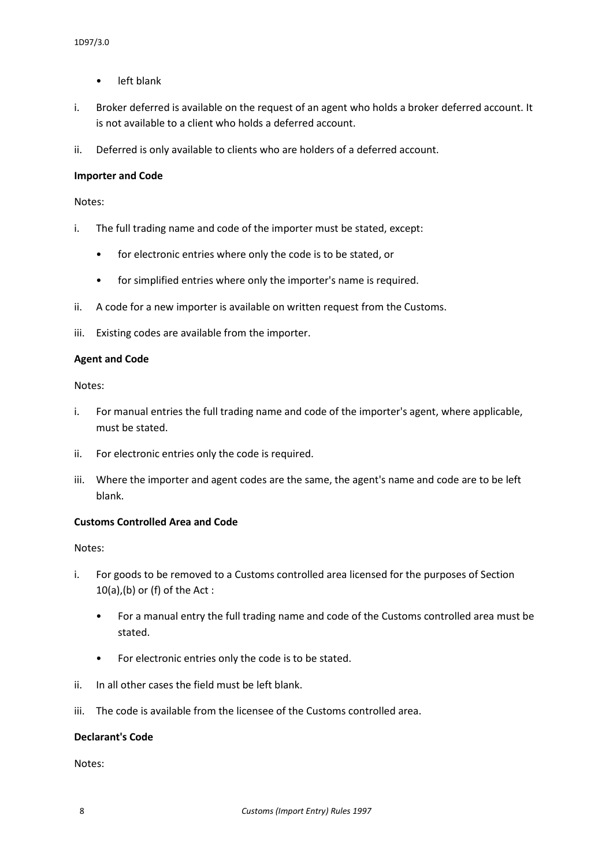- left blank
- i. Broker deferred is available on the request of an agent who holds a broker deferred account. It is not available to a client who holds a deferred account.
- ii. Deferred is only available to clients who are holders of a deferred account.

#### **Importer and Code**

Notes:

- i. The full trading name and code of the importer must be stated, except:
	- for electronic entries where only the code is to be stated, or
	- for simplified entries where only the importer's name is required.
- ii. A code for a new importer is available on written request from the Customs.
- iii. Existing codes are available from the importer.

#### **Agent and Code**

Notes:

- i. For manual entries the full trading name and code of the importer's agent, where applicable, must be stated.
- ii. For electronic entries only the code is required.
- iii. Where the importer and agent codes are the same, the agent's name and code are to be left blank.

#### **Customs Controlled Area and Code**

Notes:

- i. For goods to be removed to a Customs controlled area licensed for the purposes of Section  $10(a)$ , (b) or (f) of the Act:
	- For a manual entry the full trading name and code of the Customs controlled area must be stated.
	- For electronic entries only the code is to be stated.
- ii. In all other cases the field must be left blank.
- iii. The code is available from the licensee of the Customs controlled area.

#### **Declarant's Code**

Notes: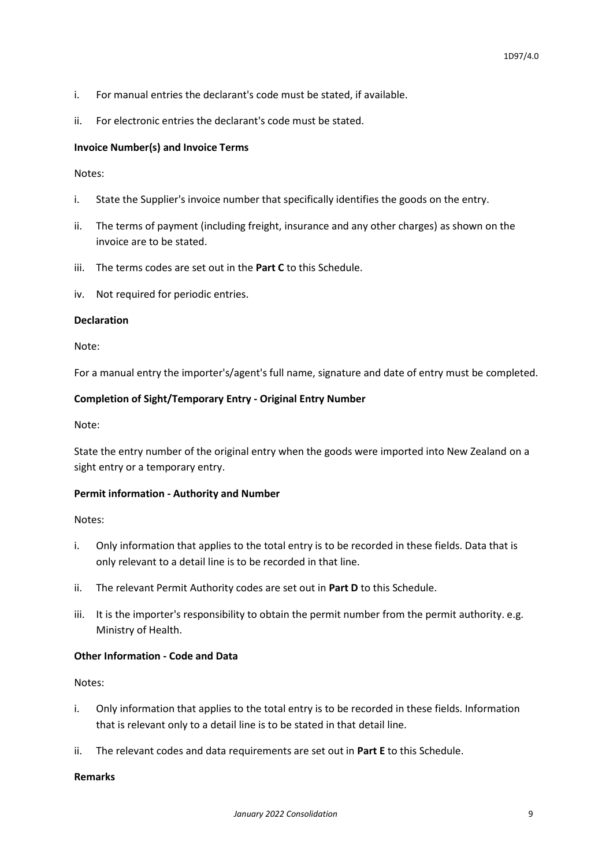- i. For manual entries the declarant's code must be stated, if available.
- ii. For electronic entries the declarant's code must be stated.

#### **Invoice Number(s) and Invoice Terms**

Notes:

- i. State the Supplier's invoice number that specifically identifies the goods on the entry.
- ii. The terms of payment (including freight, insurance and any other charges) as shown on the invoice are to be stated.
- iii. The terms codes are set out in the **Part C** to this Schedule.
- iv. Not required for periodic entries.

#### **Declaration**

Note:

For a manual entry the importer's/agent's full name, signature and date of entry must be completed.

#### **Completion of Sight/Temporary Entry - Original Entry Number**

Note:

State the entry number of the original entry when the goods were imported into New Zealand on a sight entry or a temporary entry.

#### **Permit information - Authority and Number**

Notes:

- i. Only information that applies to the total entry is to be recorded in these fields. Data that is only relevant to a detail line is to be recorded in that line.
- ii. The relevant Permit Authority codes are set out in **Part D** to this Schedule.
- iii. It is the importer's responsibility to obtain the permit number from the permit authority. e.g. Ministry of Health.

#### **Other Information - Code and Data**

Notes:

- i. Only information that applies to the total entry is to be recorded in these fields. Information that is relevant only to a detail line is to be stated in that detail line.
- ii. The relevant codes and data requirements are set out in **Part E** to this Schedule.

#### **Remarks**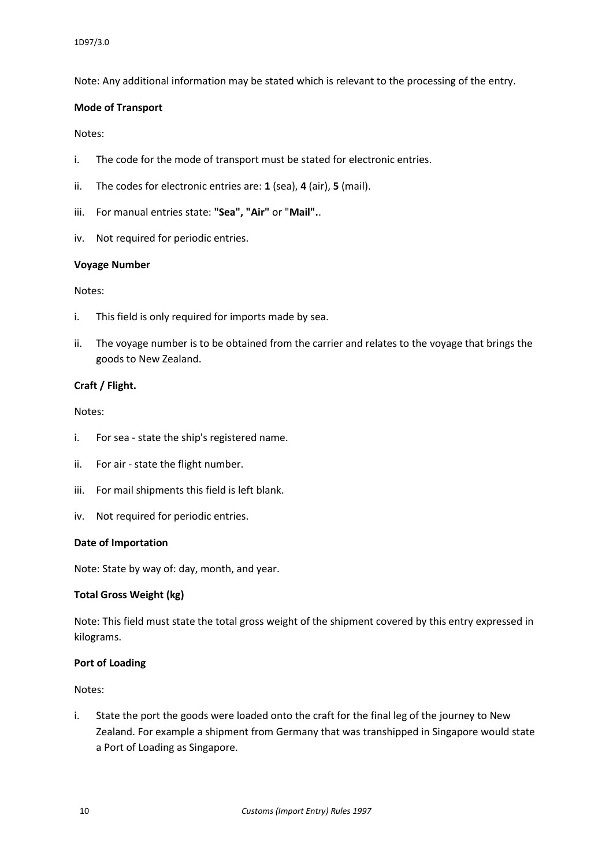Note: Any additional information may be stated which is relevant to the processing of the entry.

#### **Mode of Transport**

#### Notes:

- i. The code for the mode of transport must be stated for electronic entries.
- ii. The codes for electronic entries are: **1** (sea), **4** (air), **5** (mail).
- iii. For manual entries state: **"Sea", "Air"** or "**Mail".**.
- iv. Not required for periodic entries.

#### **Voyage Number**

#### Notes:

- i. This field is only required for imports made by sea.
- ii. The voyage number is to be obtained from the carrier and relates to the voyage that brings the goods to New Zealand.

#### **Craft / Flight.**

#### Notes:

- i. For sea state the ship's registered name.
- ii. For air state the flight number.
- iii. For mail shipments this field is left blank.
- iv. Not required for periodic entries.

#### **Date of Importation**

Note: State by way of: day, month, and year.

#### **Total Gross Weight (kg)**

Note: This field must state the total gross weight of the shipment covered by this entry expressed in kilograms.

#### **Port of Loading**

#### Notes:

i. State the port the goods were loaded onto the craft for the final leg of the journey to New Zealand. For example a shipment from Germany that was transhipped in Singapore would state a Port of Loading as Singapore.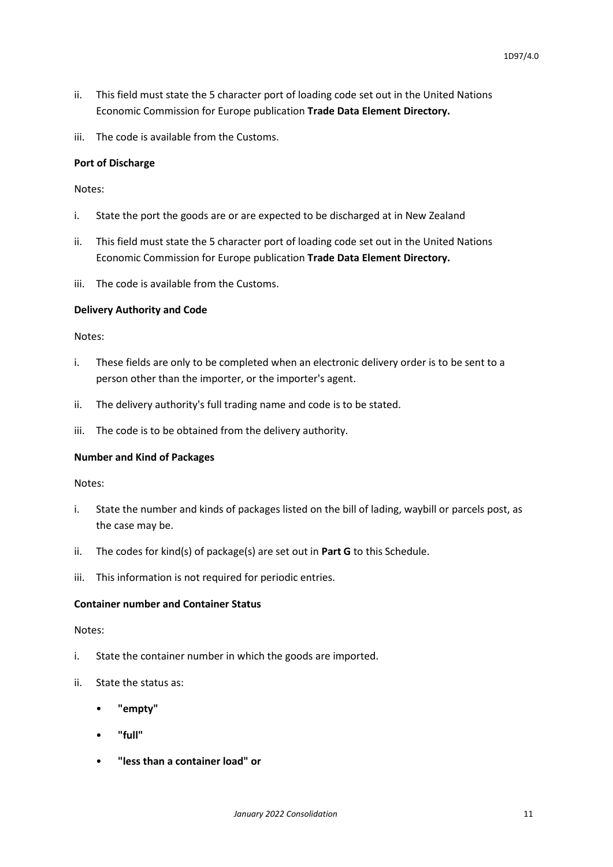- ii. This field must state the 5 character port of loading code set out in the United Nations Economic Commission for Europe publication **Trade Data Element Directory.**
- iii. The code is available from the Customs.

#### **Port of Discharge**

Notes:

- i. State the port the goods are or are expected to be discharged at in New Zealand
- ii. This field must state the 5 character port of loading code set out in the United Nations Economic Commission for Europe publication **Trade Data Element Directory.**
- iii. The code is available from the Customs.

#### **Delivery Authority and Code**

Notes:

- i. These fields are only to be completed when an electronic delivery order is to be sent to a person other than the importer, or the importer's agent.
- ii. The delivery authority's full trading name and code is to be stated.
- iii. The code is to be obtained from the delivery authority.

#### **Number and Kind of Packages**

Notes:

- i. State the number and kinds of packages listed on the bill of lading, waybill or parcels post, as the case may be.
- ii. The codes for kind(s) of package(s) are set out in **Part G** to this Schedule.
- iii. This information is not required for periodic entries.

#### **Container number and Container Status**

#### Notes:

- i. State the container number in which the goods are imported.
- ii. State the status as:
	- **"empty"**
	- **"full"**
	- **"less than a container load" or**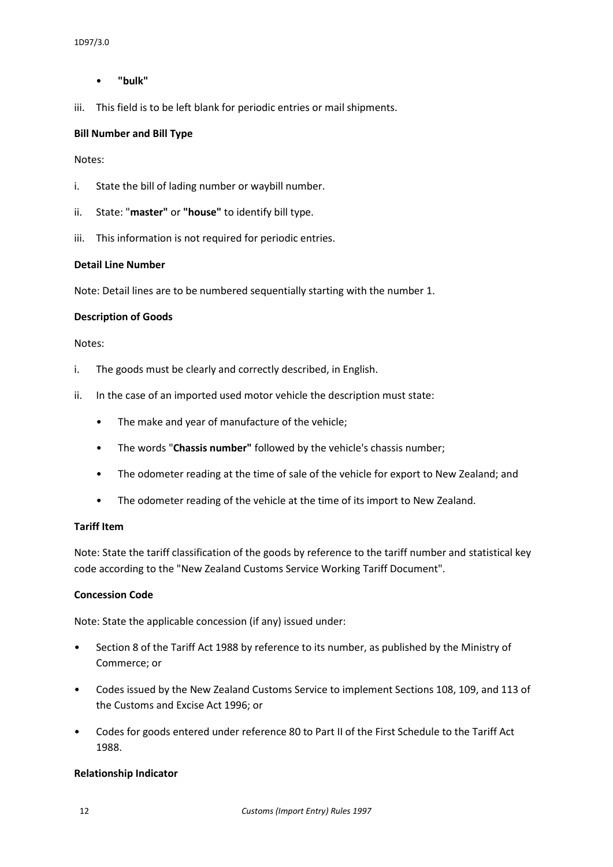#### • **"bulk"**

iii. This field is to be left blank for periodic entries or mail shipments.

#### **Bill Number and Bill Type**

#### Notes:

- i. State the bill of lading number or waybill number.
- ii. State: "**master"** or **"house"** to identify bill type.
- iii. This information is not required for periodic entries.

### **Detail Line Number**

Note: Detail lines are to be numbered sequentially starting with the number 1.

#### **Description of Goods**

#### Notes:

- i. The goods must be clearly and correctly described, in English.
- ii. In the case of an imported used motor vehicle the description must state:
	- The make and year of manufacture of the vehicle;
	- The words "**Chassis number"** followed by the vehicle's chassis number;
	- The odometer reading at the time of sale of the vehicle for export to New Zealand; and
	- The odometer reading of the vehicle at the time of its import to New Zealand.

#### **Tariff Item**

Note: State the tariff classification of the goods by reference to the tariff number and statistical key code according to the "New Zealand Customs Service Working Tariff Document".

#### **Concession Code**

Note: State the applicable concession (if any) issued under:

- Section 8 of the Tariff Act 1988 by reference to its number, as published by the Ministry of Commerce; or
- Codes issued by the New Zealand Customs Service to implement Sections 108, 109, and 113 of the Customs and Excise Act 1996; or
- Codes for goods entered under reference 80 to Part II of the First Schedule to the Tariff Act 1988.

#### **Relationship Indicator**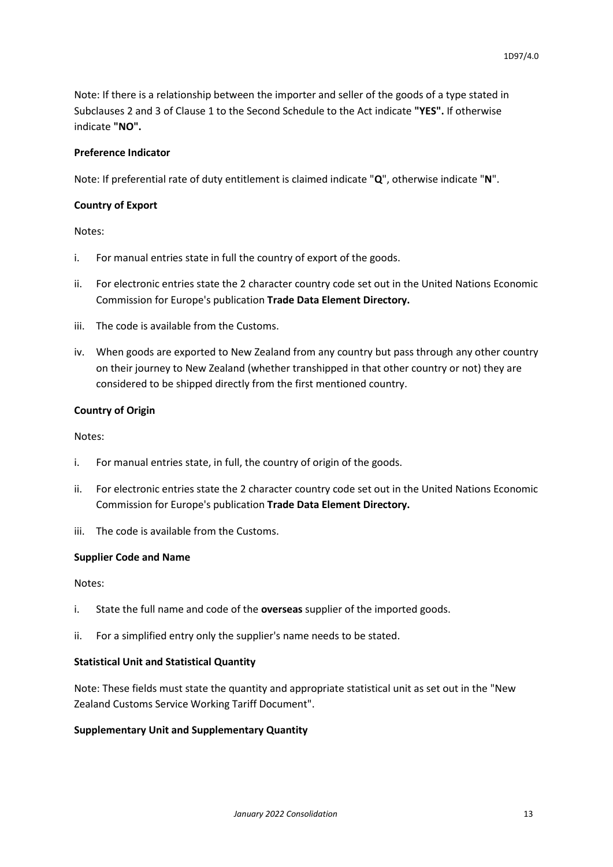Note: If there is a relationship between the importer and seller of the goods of a type stated in Subclauses 2 and 3 of Clause 1 to the Second Schedule to the Act indicate **"YES".** If otherwise indicate **"NO".**

#### **Preference Indicator**

Note: If preferential rate of duty entitlement is claimed indicate "**Q**", otherwise indicate "**N**".

#### **Country of Export**

Notes:

- i. For manual entries state in full the country of export of the goods.
- ii. For electronic entries state the 2 character country code set out in the United Nations Economic Commission for Europe's publication **Trade Data Element Directory.**
- iii. The code is available from the Customs.
- iv. When goods are exported to New Zealand from any country but pass through any other country on their journey to New Zealand (whether transhipped in that other country or not) they are considered to be shipped directly from the first mentioned country.

#### **Country of Origin**

#### Notes:

- i. For manual entries state, in full, the country of origin of the goods.
- ii. For electronic entries state the 2 character country code set out in the United Nations Economic Commission for Europe's publication **Trade Data Element Directory.**
- iii. The code is available from the Customs.

#### **Supplier Code and Name**

#### Notes:

- i. State the full name and code of the **overseas** supplier of the imported goods.
- ii. For a simplified entry only the supplier's name needs to be stated.

#### **Statistical Unit and Statistical Quantity**

Note: These fields must state the quantity and appropriate statistical unit as set out in the "New Zealand Customs Service Working Tariff Document".

#### **Supplementary Unit and Supplementary Quantity**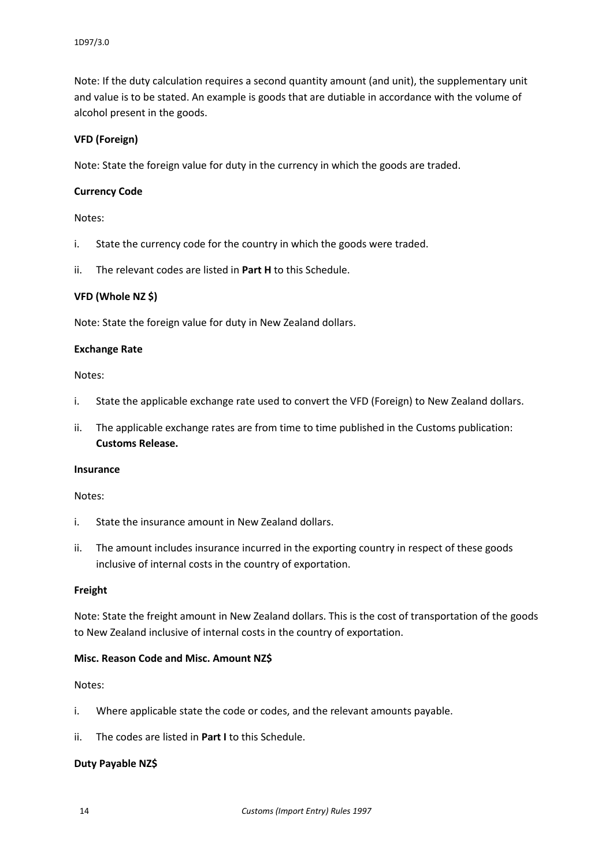Note: If the duty calculation requires a second quantity amount (and unit), the supplementary unit and value is to be stated. An example is goods that are dutiable in accordance with the volume of alcohol present in the goods.

#### **VFD (Foreign)**

Note: State the foreign value for duty in the currency in which the goods are traded.

#### **Currency Code**

Notes:

- i. State the currency code for the country in which the goods were traded.
- ii. The relevant codes are listed in **Part H** to this Schedule.

#### **VFD (Whole NZ \$)**

Note: State the foreign value for duty in New Zealand dollars.

#### **Exchange Rate**

#### Notes:

- i. State the applicable exchange rate used to convert the VFD (Foreign) to New Zealand dollars.
- ii. The applicable exchange rates are from time to time published in the Customs publication: **Customs Release.**

#### **Insurance**

#### Notes:

- i. State the insurance amount in New Zealand dollars.
- ii. The amount includes insurance incurred in the exporting country in respect of these goods inclusive of internal costs in the country of exportation.

#### **Freight**

Note: State the freight amount in New Zealand dollars. This is the cost of transportation of the goods to New Zealand inclusive of internal costs in the country of exportation.

#### **Misc. Reason Code and Misc. Amount NZ\$**

#### Notes:

- i. Where applicable state the code or codes, and the relevant amounts payable.
- ii. The codes are listed in **Part I** to this Schedule.

#### **Duty Payable NZ\$**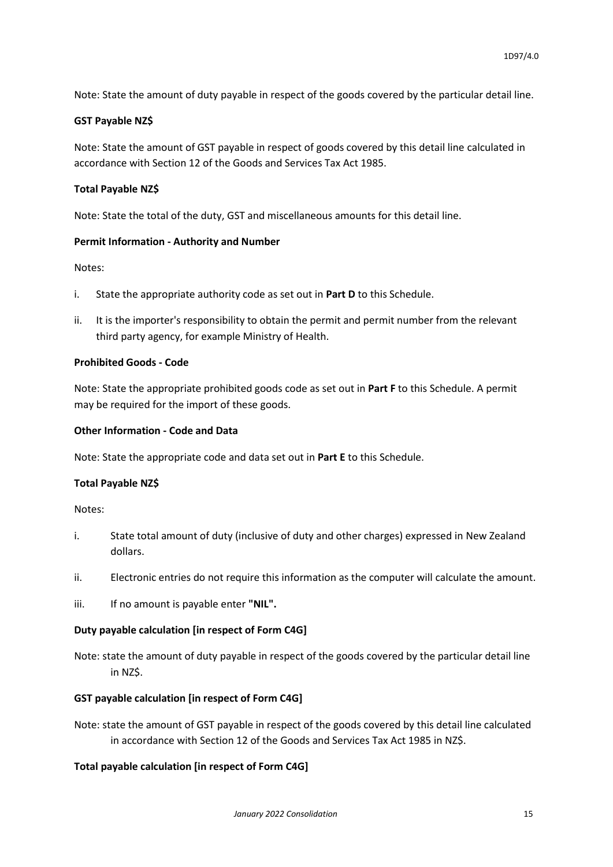Note: State the amount of duty payable in respect of the goods covered by the particular detail line.

#### **GST Payable NZ\$**

Note: State the amount of GST payable in respect of goods covered by this detail line calculated in accordance with Section 12 of the Goods and Services Tax Act 1985.

#### **Total Payable NZ\$**

Note: State the total of the duty, GST and miscellaneous amounts for this detail line.

#### **Permit Information - Authority and Number**

Notes:

- i. State the appropriate authority code as set out in **Part D** to this Schedule.
- ii. It is the importer's responsibility to obtain the permit and permit number from the relevant third party agency, for example Ministry of Health.

#### **Prohibited Goods - Code**

Note: State the appropriate prohibited goods code as set out in **Part F** to this Schedule. A permit may be required for the import of these goods.

#### **Other Information - Code and Data**

Note: State the appropriate code and data set out in **Part E** to this Schedule.

#### **Total Payable NZ\$**

Notes:

- i. State total amount of duty (inclusive of duty and other charges) expressed in New Zealand dollars.
- ii. Electronic entries do not require this information as the computer will calculate the amount.
- iii. If no amount is payable enter **"NIL".**

#### **Duty payable calculation [in respect of Form C4G]**

Note: state the amount of duty payable in respect of the goods covered by the particular detail line in NZ\$.

#### **GST payable calculation [in respect of Form C4G]**

Note: state the amount of GST payable in respect of the goods covered by this detail line calculated in accordance with Section 12 of the Goods and Services Tax Act 1985 in NZ\$.

#### **Total payable calculation [in respect of Form C4G]**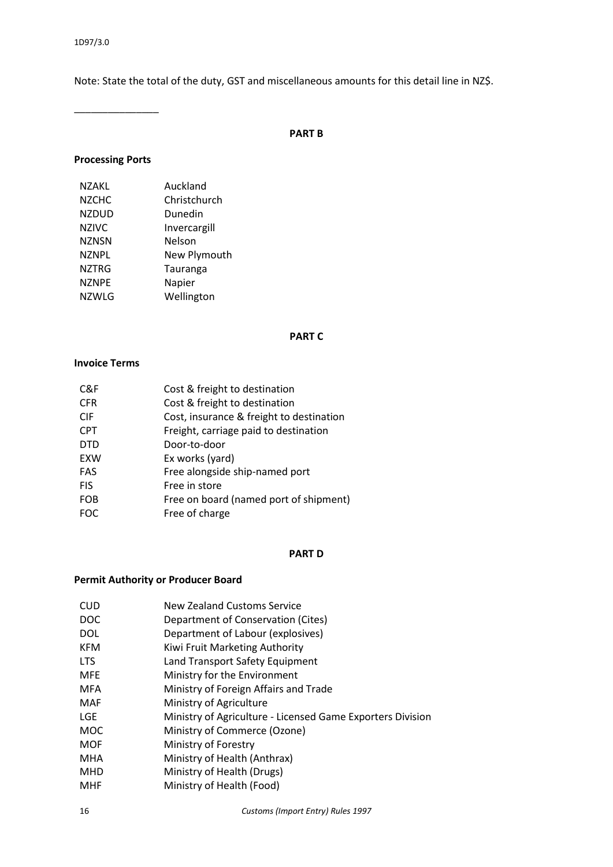Note: State the total of the duty, GST and miscellaneous amounts for this detail line in NZ\$.

\_\_\_\_\_\_\_\_\_\_\_\_\_\_\_

#### **PART B**

#### **Processing Ports**

| N7AKL        | Auckland     |
|--------------|--------------|
| <b>NZCHC</b> | Christchurch |
| NZDUD        | Dunedin      |
| <b>NZIVC</b> | Invercargill |
| <b>NZNSN</b> | Nelson       |
| <b>NZNPL</b> | New Plymouth |
| <b>NZTRG</b> | Tauranga     |
| <b>NZNPE</b> | Napier       |
| NZWLG        | Wellington   |
|              |              |

#### **PART C**

#### **Invoice Terms**

| Cost & freight to destination            |
|------------------------------------------|
| Cost & freight to destination            |
| Cost, insurance & freight to destination |
| Freight, carriage paid to destination    |
| Door-to-door                             |
| Ex works (yard)                          |
| Free alongside ship-named port           |
| Free in store                            |
| Free on board (named port of shipment)   |
| Free of charge                           |
|                                          |

#### **PART D**

#### **Permit Authority or Producer Board**

- CUD New Zealand Customs Service
- DOC Department of Conservation (Cites)
- DOL Department of Labour (explosives)
- KFM Kiwi Fruit Marketing Authority
- LTS Land Transport Safety Equipment
- MFE Ministry for the Environment
- MFA Ministry of Foreign Affairs and Trade
- MAF Ministry of Agriculture
- LGE Ministry of Agriculture Licensed Game Exporters Division
- MOC Ministry of Commerce (Ozone)
- MOF Ministry of Forestry
- MHA Ministry of Health (Anthrax)
- MHD Ministry of Health (Drugs)
- MHF Ministry of Health (Food)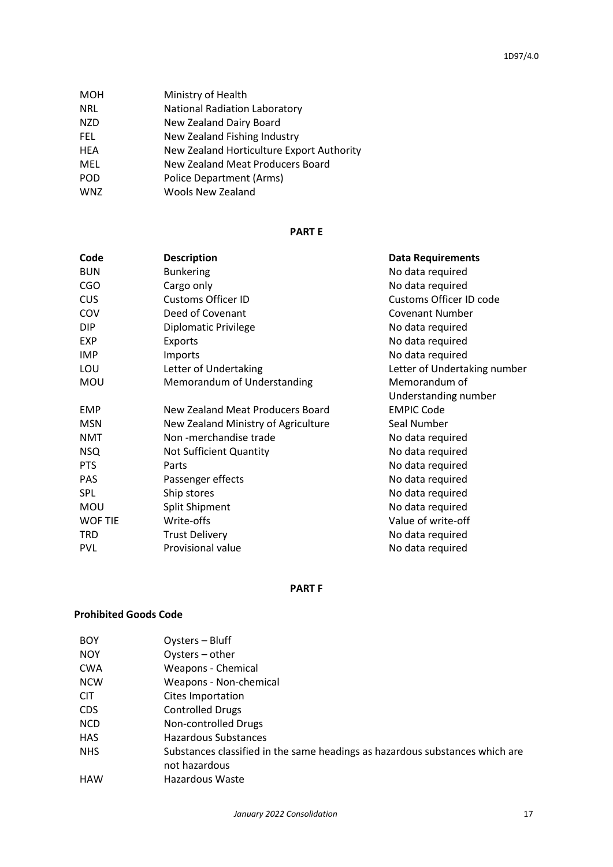| <b>MOH</b> | Ministry of Health                        |
|------------|-------------------------------------------|
| NRL        | <b>National Radiation Laboratory</b>      |
| NZD        | New Zealand Dairy Board                   |
| FEL.       | New Zealand Fishing Industry              |
| HEA        | New Zealand Horticulture Export Authority |
| MEL        | New Zealand Meat Producers Board          |
| POD        | Police Department (Arms)                  |
| WNZ        | <b>Wools New Zealand</b>                  |
|            |                                           |

#### **PART E**

| <b>Description</b>                  | <b>Data Requirements</b>     |
|-------------------------------------|------------------------------|
| <b>Bunkering</b>                    | No data required             |
| Cargo only                          | No data required             |
| <b>Customs Officer ID</b>           | Customs Officer ID code      |
| Deed of Covenant                    | <b>Covenant Number</b>       |
| <b>Diplomatic Privilege</b>         | No data required             |
| Exports                             | No data required             |
| Imports                             | No data required             |
| Letter of Undertaking               | Letter of Undertaking number |
| Memorandum of Understanding         | Memorandum of                |
|                                     | Understanding number         |
| New Zealand Meat Producers Board    | <b>EMPIC Code</b>            |
| New Zealand Ministry of Agriculture | Seal Number                  |
| Non-merchandise trade               | No data required             |
| <b>Not Sufficient Quantity</b>      | No data required             |
| Parts                               | No data required             |
| Passenger effects                   | No data required             |
| Ship stores                         | No data required             |
| <b>Split Shipment</b>               | No data required             |
| Write-offs                          | Value of write-off           |
| <b>Trust Delivery</b>               | No data required             |
| Provisional value                   | No data required             |
|                                     |                              |

#### **PART F**

## **Prohibited Goods Code**

| <b>BOY</b> | Oysters - Bluff                                                              |
|------------|------------------------------------------------------------------------------|
| <b>NOY</b> | Oysters - other                                                              |
| <b>CWA</b> | Weapons - Chemical                                                           |
| <b>NCW</b> | Weapons - Non-chemical                                                       |
| <b>CIT</b> | Cites Importation                                                            |
| CDS.       | <b>Controlled Drugs</b>                                                      |
| <b>NCD</b> | Non-controlled Drugs                                                         |
| <b>HAS</b> | Hazardous Substances                                                         |
| <b>NHS</b> | Substances classified in the same headings as hazardous substances which are |
|            | not hazardous                                                                |
| <b>HAW</b> | Hazardous Waste                                                              |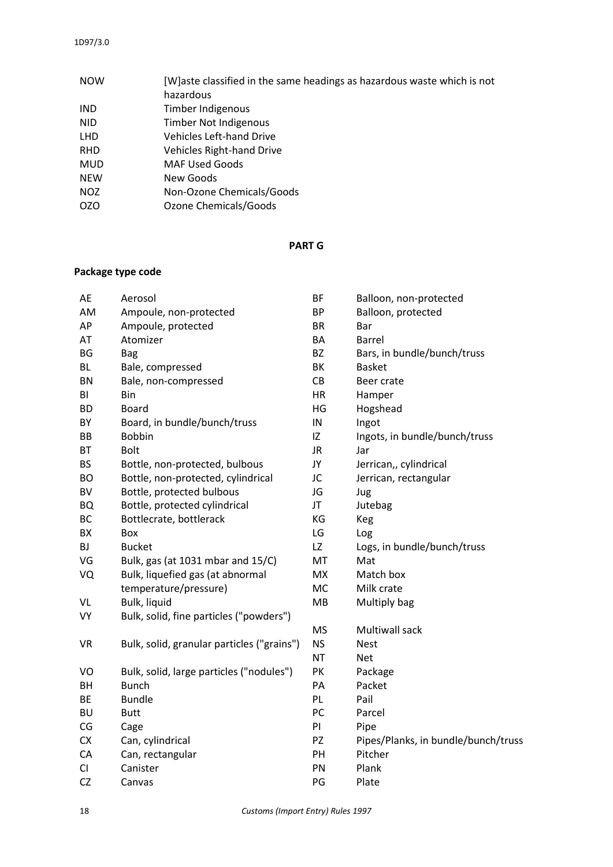| <b>NOW</b> | [W]aste classified in the same headings as hazardous waste which is not |
|------------|-------------------------------------------------------------------------|
|            | hazardous                                                               |
| <b>IND</b> | Timber Indigenous                                                       |
| NID.       | <b>Timber Not Indigenous</b>                                            |
| <b>LHD</b> | <b>Vehicles Left-hand Drive</b>                                         |
| <b>RHD</b> | <b>Vehicles Right-hand Drive</b>                                        |
| <b>MUD</b> | <b>MAF Used Goods</b>                                                   |
| <b>NEW</b> | New Goods                                                               |
| <b>NOZ</b> | Non-Ozone Chemicals/Goods                                               |
| OZO        | Ozone Chemicals/Goods                                                   |

#### **PART G**

# **Package type code**

| AE        | Aerosol                                    | <b>BF</b> | Balloon, non-protected              |
|-----------|--------------------------------------------|-----------|-------------------------------------|
| AM        | Ampoule, non-protected                     | <b>BP</b> | Balloon, protected                  |
| AP        | Ampoule, protected                         | <b>BR</b> | Bar                                 |
| AT        | Atomizer                                   | BA        | <b>Barrel</b>                       |
| BG        | <b>Bag</b>                                 | <b>BZ</b> | Bars, in bundle/bunch/truss         |
| <b>BL</b> | Bale, compressed                           | BK        | <b>Basket</b>                       |
| <b>BN</b> | Bale, non-compressed                       | CB        | Beer crate                          |
| BI        | Bin                                        | <b>HR</b> | Hamper                              |
| <b>BD</b> | <b>Board</b>                               | HG        | Hogshead                            |
| BY        | Board, in bundle/bunch/truss               | IN        | Ingot                               |
| BB        | <b>Bobbin</b>                              | IZ        | Ingots, in bundle/bunch/truss       |
| <b>BT</b> | <b>Bolt</b>                                | <b>JR</b> | Jar                                 |
| <b>BS</b> | Bottle, non-protected, bulbous             | JY        | Jerrican,, cylindrical              |
| <b>BO</b> | Bottle, non-protected, cylindrical         | JC        | Jerrican, rectangular               |
| BV        | Bottle, protected bulbous                  | JG        | Jug                                 |
| <b>BQ</b> | Bottle, protected cylindrical              | JT        | Jutebag                             |
| BC        | Bottlecrate, bottlerack                    | KG        | Keg                                 |
| BX        | Box                                        | LG        | Log                                 |
| <b>BJ</b> | <b>Bucket</b>                              | LZ        | Logs, in bundle/bunch/truss         |
| VG        | Bulk, gas (at 1031 mbar and 15/C)          | MT        | Mat                                 |
| VQ        | Bulk, liquefied gas (at abnormal           | <b>MX</b> | Match box                           |
|           | temperature/pressure)                      | <b>MC</b> | Milk crate                          |
| VL        | Bulk, liquid                               | MB        | Multiply bag                        |
| VY        | Bulk, solid, fine particles ("powders")    |           |                                     |
|           |                                            | <b>MS</b> | Multiwall sack                      |
| <b>VR</b> | Bulk, solid, granular particles ("grains") | <b>NS</b> | <b>Nest</b>                         |
|           |                                            | <b>NT</b> | <b>Net</b>                          |
| VO        | Bulk, solid, large particles ("nodules")   | PK        | Package                             |
| BH        | <b>Bunch</b>                               | PA        | Packet                              |
| BE        | <b>Bundle</b>                              | PL        | Pail                                |
| <b>BU</b> | <b>Butt</b>                                | PC        | Parcel                              |
| CG        | Cage                                       | PI        | Pipe                                |
| <b>CX</b> | Can, cylindrical                           | PZ        | Pipes/Planks, in bundle/bunch/truss |
| CA        | Can, rectangular                           | PH        | Pitcher                             |
| CI        | Canister                                   | PN        | Plank                               |
| <b>CZ</b> | Canvas                                     | PG        | Plate                               |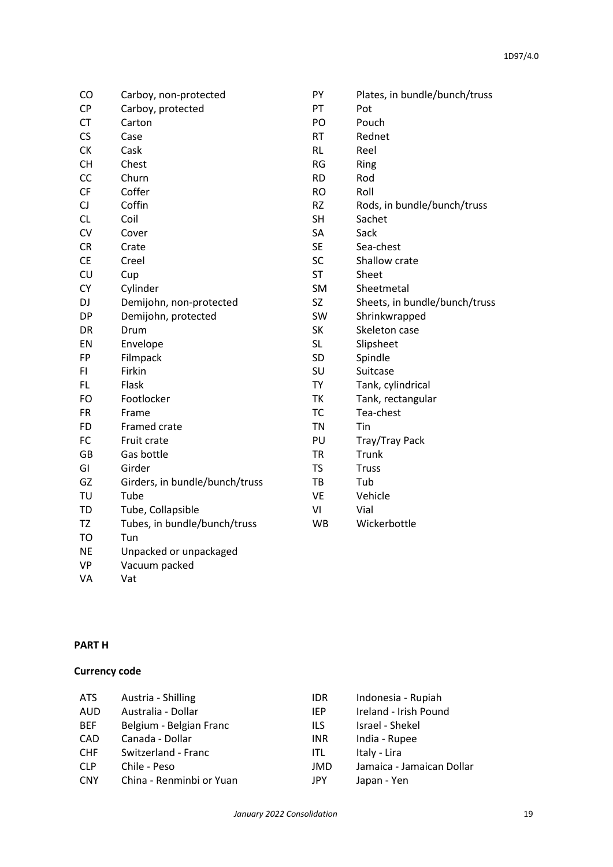| CO        | Carboy, non-protected          | PY        | Plates, in bundle/bunch/truss |
|-----------|--------------------------------|-----------|-------------------------------|
| <b>CP</b> | Carboy, protected              | PT        | Pot                           |
| <b>CT</b> | Carton                         | PO        | Pouch                         |
| CS        | Case                           | <b>RT</b> | Rednet                        |
| <b>CK</b> | Cask                           | <b>RL</b> | Reel                          |
| <b>CH</b> | Chest                          | <b>RG</b> | Ring                          |
| CC        | Churn                          | <b>RD</b> | Rod                           |
| CF        | Coffer                         | <b>RO</b> | Roll                          |
| CJ        | Coffin                         | <b>RZ</b> | Rods, in bundle/bunch/truss   |
| CL        | Coil                           | <b>SH</b> | Sachet                        |
| CV        | Cover                          | SA        | Sack                          |
| CR        | Crate                          | SE.       | Sea-chest                     |
| <b>CE</b> | Creel                          | SC        | Shallow crate                 |
| CU        | Cup                            | <b>ST</b> | Sheet                         |
| <b>CY</b> | Cylinder                       | SM        | Sheetmetal                    |
| DJ        | Demijohn, non-protected        | SZ        | Sheets, in bundle/bunch/truss |
| <b>DP</b> | Demijohn, protected            | <b>SW</b> | Shrinkwrapped                 |
| DR        | Drum                           | SK        | Skeleton case                 |
| EN        | Envelope                       | <b>SL</b> | Slipsheet                     |
| FP        | Filmpack                       | <b>SD</b> | Spindle                       |
| FI        | Firkin                         | SU        | Suitcase                      |
| FL.       | Flask                          | TY        | Tank, cylindrical             |
| FO        | Footlocker                     | <b>TK</b> | Tank, rectangular             |
| <b>FR</b> | Frame                          | TC        | Tea-chest                     |
| <b>FD</b> | Framed crate                   | <b>TN</b> | Tin                           |
| FC        | Fruit crate                    | PU        | Tray/Tray Pack                |
| <b>GB</b> | Gas bottle                     | <b>TR</b> | Trunk                         |
| GI        | Girder                         | TS        | <b>Truss</b>                  |
| GZ        | Girders, in bundle/bunch/truss | TB        | Tub                           |
| TU        | Tube                           | <b>VE</b> | Vehicle                       |
| TD        | Tube, Collapsible              | VI        | Vial                          |
| TZ        | Tubes, in bundle/bunch/truss   | <b>WB</b> | Wickerbottle                  |
| <b>TO</b> | Tun                            |           |                               |
| <b>NE</b> | Unpacked or unpackaged         |           |                               |
| <b>VP</b> | Vacuum packed                  |           |                               |

#### **PART H**

#### **Currency code**

VA Vat

Vacuum packed

| ATS.       | Austria - Shilling       | <b>IDR</b> | Indonesia - Rupiah        |
|------------|--------------------------|------------|---------------------------|
| AUD        | Australia - Dollar       | IEP.       | Ireland - Irish Pound     |
| <b>BEF</b> | Belgium - Belgian Franc  | ils        | Israel - Shekel           |
| CAD        | Canada - Dollar          | <b>INR</b> | India - Rupee             |
| <b>CHF</b> | Switzerland - Franc      | ITL        | Italy - Lira              |
| <b>CLP</b> | Chile - Peso             | JMD        | Jamaica - Jamaican Dollar |
| <b>CNY</b> | China - Renminbi or Yuan | JPY        | Japan - Yen               |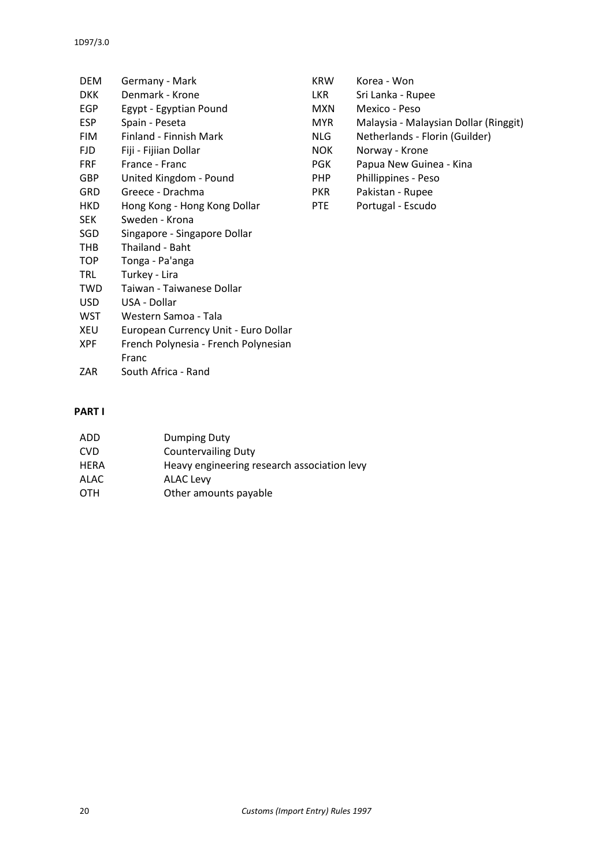| DEM        | Germany - Mark                       | <b>KRW</b> | Korea - Won                           |
|------------|--------------------------------------|------------|---------------------------------------|
| <b>DKK</b> | Denmark - Krone                      | LKR I      | Sri Lanka - Rupee                     |
| <b>EGP</b> | Egypt - Egyptian Pound               | <b>MXN</b> | Mexico - Peso                         |
| <b>ESP</b> | Spain - Peseta                       | MYR        | Malaysia - Malaysian Dollar (Ringgit) |
| <b>FIM</b> | Finland - Finnish Mark               | NLG        | Netherlands - Florin (Guilder)        |
| <b>FJD</b> | Fiji - Fijiian Dollar                | <b>NOK</b> | Norway - Krone                        |
| <b>FRF</b> | France - Franc                       | <b>PGK</b> | Papua New Guinea - Kina               |
| GBP        | United Kingdom - Pound               | <b>PHP</b> | Phillippines - Peso                   |
| <b>GRD</b> | Greece - Drachma                     | <b>PKR</b> | Pakistan - Rupee                      |
| HKD        | Hong Kong - Hong Kong Dollar         | PTE        | Portugal - Escudo                     |
| <b>SEK</b> | Sweden - Krona                       |            |                                       |
| SGD        | Singapore - Singapore Dollar         |            |                                       |
| THB        | Thailand - Baht                      |            |                                       |
| <b>TOP</b> | Tonga - Pa'anga                      |            |                                       |
| <b>TRL</b> | Turkey - Lira                        |            |                                       |
| <b>TWD</b> | Taiwan - Taiwanese Dollar            |            |                                       |
| <b>USD</b> | USA - Dollar                         |            |                                       |
| WST        | Western Samoa - Tala                 |            |                                       |
| XEU        | European Currency Unit - Euro Dollar |            |                                       |
| <b>XPF</b> | French Polynesia - French Polynesian |            |                                       |
|            | Franc                                |            |                                       |
| ZAR        | South Africa - Rand                  |            |                                       |
|            |                                      |            |                                       |

### **PART I**

| ADD        | Dumping Duty                                |
|------------|---------------------------------------------|
| <b>CVD</b> | <b>Countervailing Duty</b>                  |
| HERA       | Heavy engineering research association levy |
| ALAC       | ALAC Levy                                   |
| OTH        | Other amounts payable                       |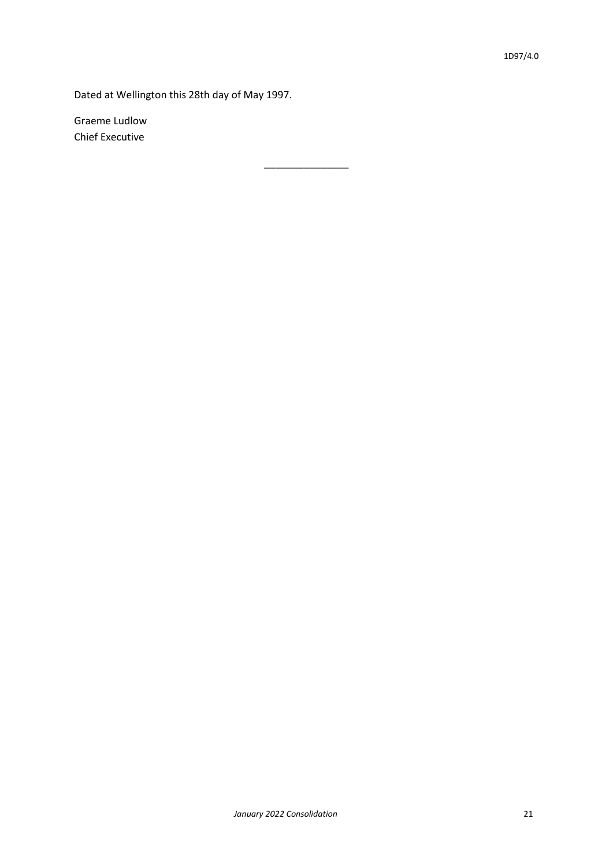Dated at Wellington this 28th day of May 1997.

\_\_\_\_\_\_\_\_\_\_\_\_\_\_\_

Graeme Ludlow Chief Executive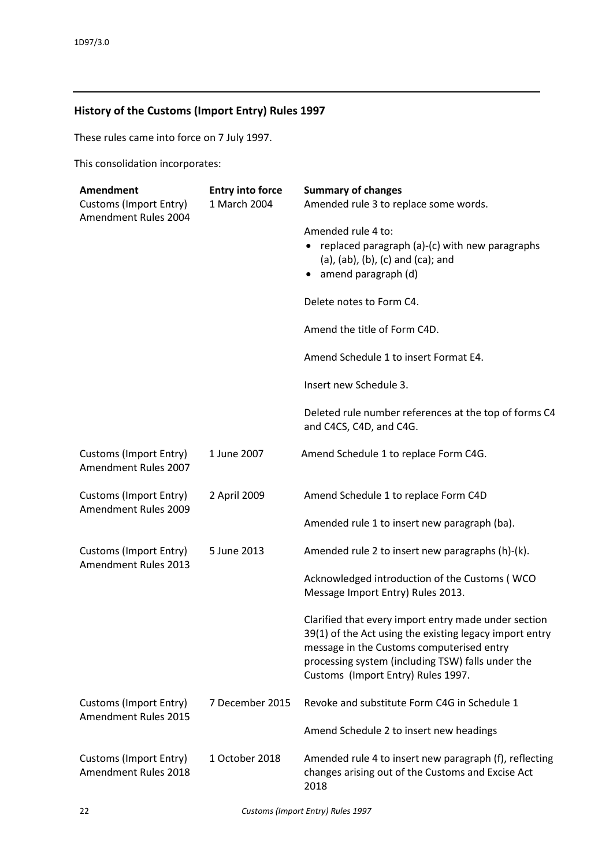# **History of the Customs (Import Entry) Rules 1997**

These rules came into force on 7 July 1997.

This consolidation incorporates:

| Amendment<br><b>Customs (Import Entry)</b><br>Amendment Rules 2004 | <b>Entry into force</b><br>1 March 2004 | <b>Summary of changes</b><br>Amended rule 3 to replace some words.                                                                                                                                                                                      |
|--------------------------------------------------------------------|-----------------------------------------|---------------------------------------------------------------------------------------------------------------------------------------------------------------------------------------------------------------------------------------------------------|
|                                                                    |                                         | Amended rule 4 to:<br>replaced paragraph (a)-(c) with new paragraphs<br>(a), (ab), (b), (c) and (ca); and<br>amend paragraph (d)                                                                                                                        |
|                                                                    |                                         | Delete notes to Form C4.                                                                                                                                                                                                                                |
|                                                                    |                                         | Amend the title of Form C4D.                                                                                                                                                                                                                            |
|                                                                    |                                         | Amend Schedule 1 to insert Format E4.                                                                                                                                                                                                                   |
|                                                                    |                                         | Insert new Schedule 3.                                                                                                                                                                                                                                  |
|                                                                    |                                         | Deleted rule number references at the top of forms C4<br>and C4CS, C4D, and C4G.                                                                                                                                                                        |
| <b>Customs (Import Entry)</b><br>Amendment Rules 2007              | 1 June 2007                             | Amend Schedule 1 to replace Form C4G.                                                                                                                                                                                                                   |
| Customs (Import Entry)<br>Amendment Rules 2009                     | 2 April 2009                            | Amend Schedule 1 to replace Form C4D                                                                                                                                                                                                                    |
|                                                                    |                                         | Amended rule 1 to insert new paragraph (ba).                                                                                                                                                                                                            |
| <b>Customs (Import Entry)</b><br>Amendment Rules 2013              | 5 June 2013                             | Amended rule 2 to insert new paragraphs (h)-(k).                                                                                                                                                                                                        |
|                                                                    |                                         | Acknowledged introduction of the Customs (WCO<br>Message Import Entry) Rules 2013.                                                                                                                                                                      |
|                                                                    |                                         | Clarified that every import entry made under section<br>39(1) of the Act using the existing legacy import entry<br>message in the Customs computerised entry<br>processing system (including TSW) falls under the<br>Customs (Import Entry) Rules 1997. |
| Customs (Import Entry)<br>Amendment Rules 2015                     | 7 December 2015                         | Revoke and substitute Form C4G in Schedule 1                                                                                                                                                                                                            |
|                                                                    |                                         | Amend Schedule 2 to insert new headings                                                                                                                                                                                                                 |
| <b>Customs (Import Entry)</b><br>Amendment Rules 2018              | 1 October 2018                          | Amended rule 4 to insert new paragraph (f), reflecting<br>changes arising out of the Customs and Excise Act<br>2018                                                                                                                                     |